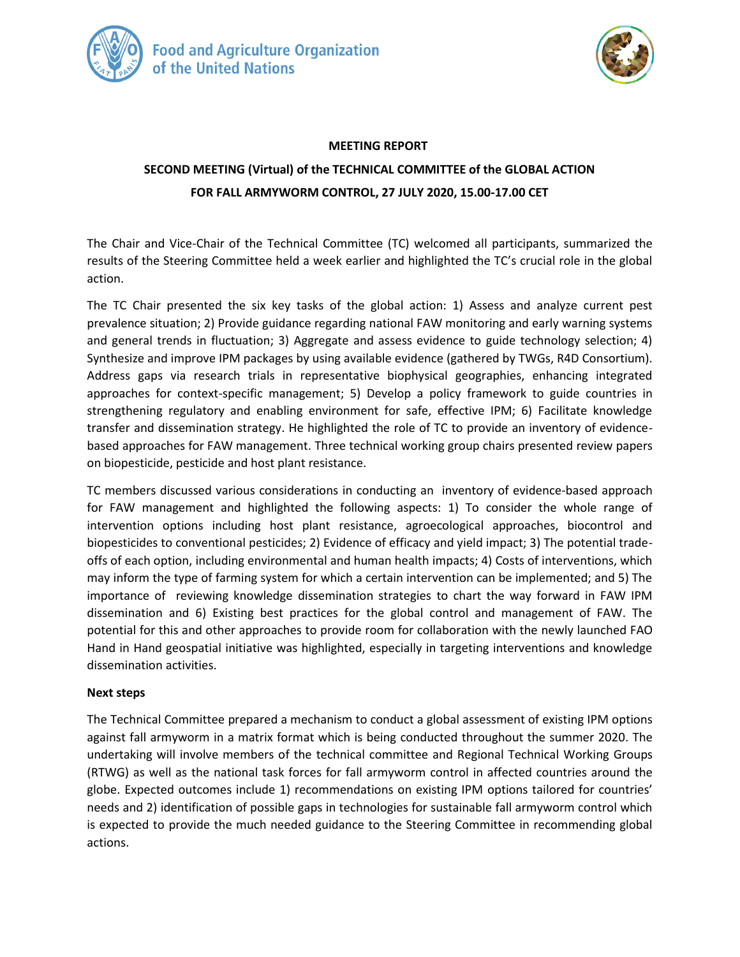



#### **MEETING REPORT**

# **SECOND MEETING (Virtual) of the TECHNICAL COMMITTEE of the GLOBAL ACTION FOR FALL ARMYWORM CONTROL, 27 JULY 2020, 15.00-17.00 CET**

The Chair and Vice-Chair of the Technical Committee (TC) welcomed all participants, summarized the results of the Steering Committee held a week earlier and highlighted the TC's crucial role in the global action.

The TC Chair presented the six key tasks of the global action: 1) Assess and analyze current pest prevalence situation; 2) Provide guidance regarding national FAW monitoring and early warning systems and general trends in fluctuation; 3) Aggregate and assess evidence to guide technology selection; 4) Synthesize and improve IPM packages by using available evidence (gathered by TWGs, R4D Consortium). Address gaps via research trials in representative biophysical geographies, enhancing integrated approaches for context-specific management; 5) Develop a policy framework to guide countries in strengthening regulatory and enabling environment for safe, effective IPM; 6) Facilitate knowledge transfer and dissemination strategy. He highlighted the role of TC to provide an inventory of evidencebased approaches for FAW management. Three technical working group chairs presented review papers on biopesticide, pesticide and host plant resistance.

TC members discussed various considerations in conducting an inventory of evidence-based approach for FAW management and highlighted the following aspects: 1) To consider the whole range of intervention options including host plant resistance, agroecological approaches, biocontrol and biopesticides to conventional pesticides; 2) Evidence of efficacy and yield impact; 3) The potential tradeoffs of each option, including environmental and human health impacts; 4) Costs of interventions, which may inform the type of farming system for which a certain intervention can be implemented; and 5) The importance of reviewing knowledge dissemination strategies to chart the way forward in FAW IPM dissemination and 6) Existing best practices for the global control and management of FAW. The potential for this and other approaches to provide room for collaboration with the newly launched FAO Hand in Hand geospatial initiative was highlighted, especially in targeting interventions and knowledge dissemination activities.

#### **Next steps**

The Technical Committee prepared a mechanism to conduct a global assessment of existing IPM options against fall armyworm in a matrix format which is being conducted throughout the summer 2020. The undertaking will involve members of the technical committee and Regional Technical Working Groups (RTWG) as well as the national task forces for fall armyworm control in affected countries around the globe. Expected outcomes include 1) recommendations on existing IPM options tailored for countries' needs and 2) identification of possible gaps in technologies for sustainable fall armyworm control which is expected to provide the much needed guidance to the Steering Committee in recommending global actions.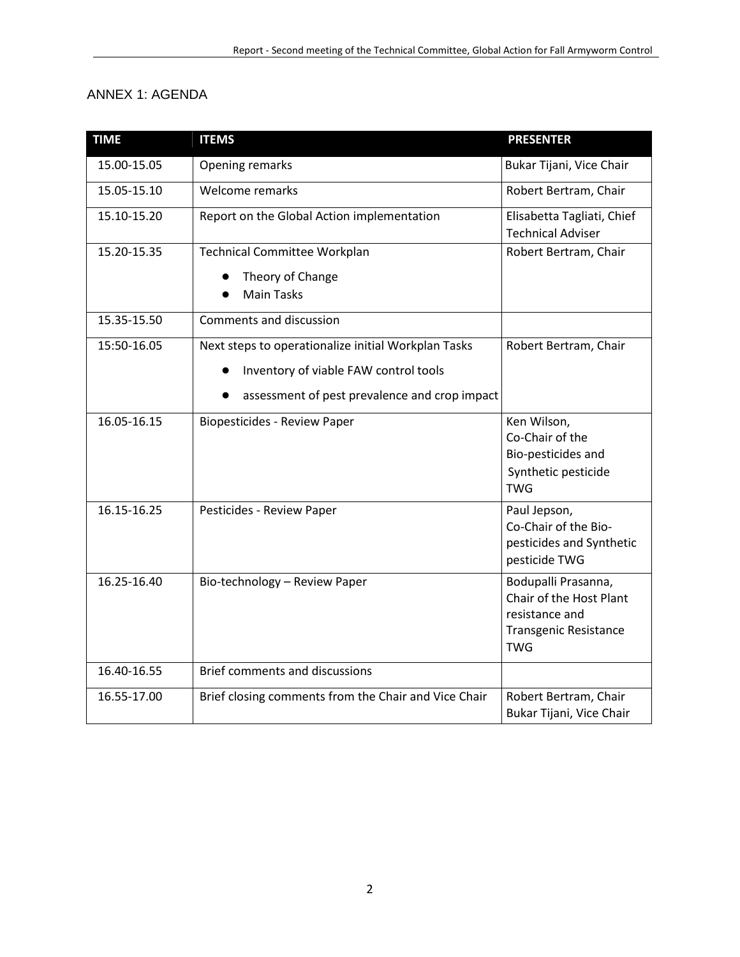### ANNEX 1: AGENDA

| <b>TIME</b> | <b>ITEMS</b>                                                                                                                                  | <b>PRESENTER</b>                                                                                               |
|-------------|-----------------------------------------------------------------------------------------------------------------------------------------------|----------------------------------------------------------------------------------------------------------------|
| 15.00-15.05 | Opening remarks                                                                                                                               | Bukar Tijani, Vice Chair                                                                                       |
| 15.05-15.10 | Welcome remarks                                                                                                                               | Robert Bertram, Chair                                                                                          |
| 15.10-15.20 | Report on the Global Action implementation                                                                                                    | Elisabetta Tagliati, Chief<br><b>Technical Adviser</b>                                                         |
| 15.20-15.35 | Technical Committee Workplan                                                                                                                  | Robert Bertram, Chair                                                                                          |
|             | Theory of Change<br><b>Main Tasks</b>                                                                                                         |                                                                                                                |
| 15.35-15.50 | <b>Comments and discussion</b>                                                                                                                |                                                                                                                |
| 15:50-16.05 | Next steps to operationalize initial Workplan Tasks<br>Inventory of viable FAW control tools<br>assessment of pest prevalence and crop impact | Robert Bertram, Chair                                                                                          |
| 16.05-16.15 | <b>Biopesticides - Review Paper</b>                                                                                                           | Ken Wilson,<br>Co-Chair of the<br>Bio-pesticides and<br>Synthetic pesticide<br><b>TWG</b>                      |
| 16.15-16.25 | Pesticides - Review Paper                                                                                                                     | Paul Jepson,<br>Co-Chair of the Bio-<br>pesticides and Synthetic<br>pesticide TWG                              |
| 16.25-16.40 | Bio-technology - Review Paper                                                                                                                 | Bodupalli Prasanna,<br>Chair of the Host Plant<br>resistance and<br><b>Transgenic Resistance</b><br><b>TWG</b> |
| 16.40-16.55 | Brief comments and discussions                                                                                                                |                                                                                                                |
| 16.55-17.00 | Brief closing comments from the Chair and Vice Chair                                                                                          | Robert Bertram, Chair<br>Bukar Tijani, Vice Chair                                                              |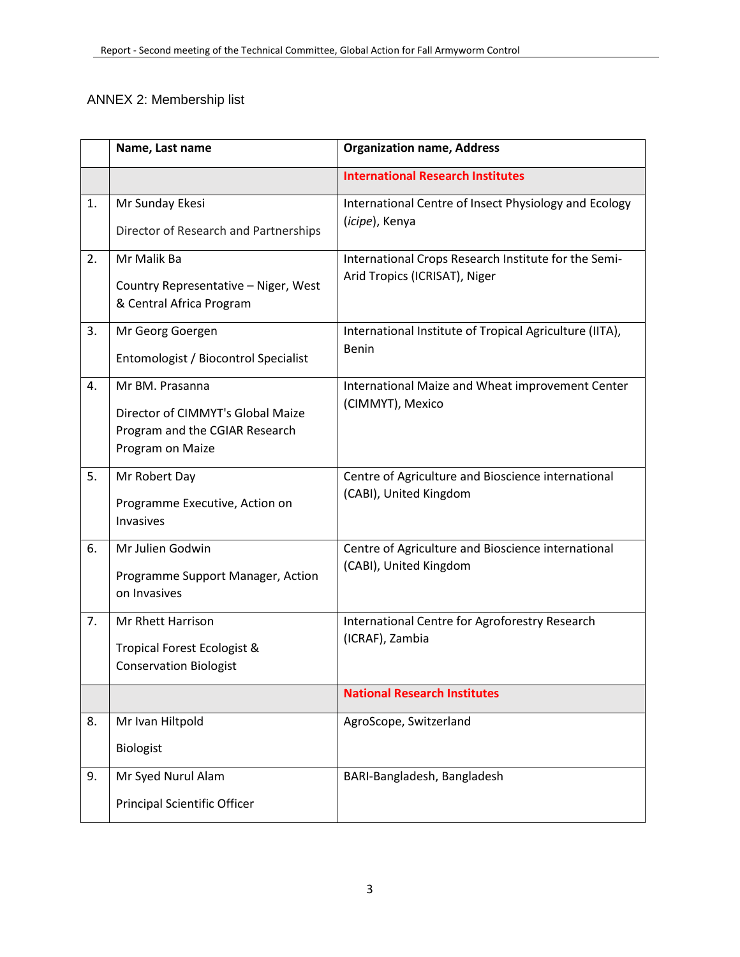## ANNEX 2: Membership list

|    | Name, Last name                                                                                            | <b>Organization name, Address</b>                                                     |
|----|------------------------------------------------------------------------------------------------------------|---------------------------------------------------------------------------------------|
|    |                                                                                                            | <b>International Research Institutes</b>                                              |
| 1. | Mr Sunday Ekesi<br>Director of Research and Partnerships                                                   | International Centre of Insect Physiology and Ecology<br>(icipe), Kenya               |
| 2. | Mr Malik Ba<br>Country Representative - Niger, West<br>& Central Africa Program                            | International Crops Research Institute for the Semi-<br>Arid Tropics (ICRISAT), Niger |
| 3. | Mr Georg Goergen<br>Entomologist / Biocontrol Specialist                                                   | International Institute of Tropical Agriculture (IITA),<br><b>Benin</b>               |
| 4. | Mr BM. Prasanna<br>Director of CIMMYT's Global Maize<br>Program and the CGIAR Research<br>Program on Maize | International Maize and Wheat improvement Center<br>(CIMMYT), Mexico                  |
| 5. | Mr Robert Day<br>Programme Executive, Action on<br>Invasives                                               | Centre of Agriculture and Bioscience international<br>(CABI), United Kingdom          |
| 6. | Mr Julien Godwin<br>Programme Support Manager, Action<br>on Invasives                                      | Centre of Agriculture and Bioscience international<br>(CABI), United Kingdom          |
| 7. | <b>Mr Rhett Harrison</b><br>Tropical Forest Ecologist &<br><b>Conservation Biologist</b>                   | International Centre for Agroforestry Research<br>(ICRAF), Zambia                     |
|    |                                                                                                            | <b>National Research Institutes</b>                                                   |
| 8. | Mr Ivan Hiltpold<br>Biologist                                                                              | AgroScope, Switzerland                                                                |
| 9. | Mr Syed Nurul Alam<br><b>Principal Scientific Officer</b>                                                  | BARI-Bangladesh, Bangladesh                                                           |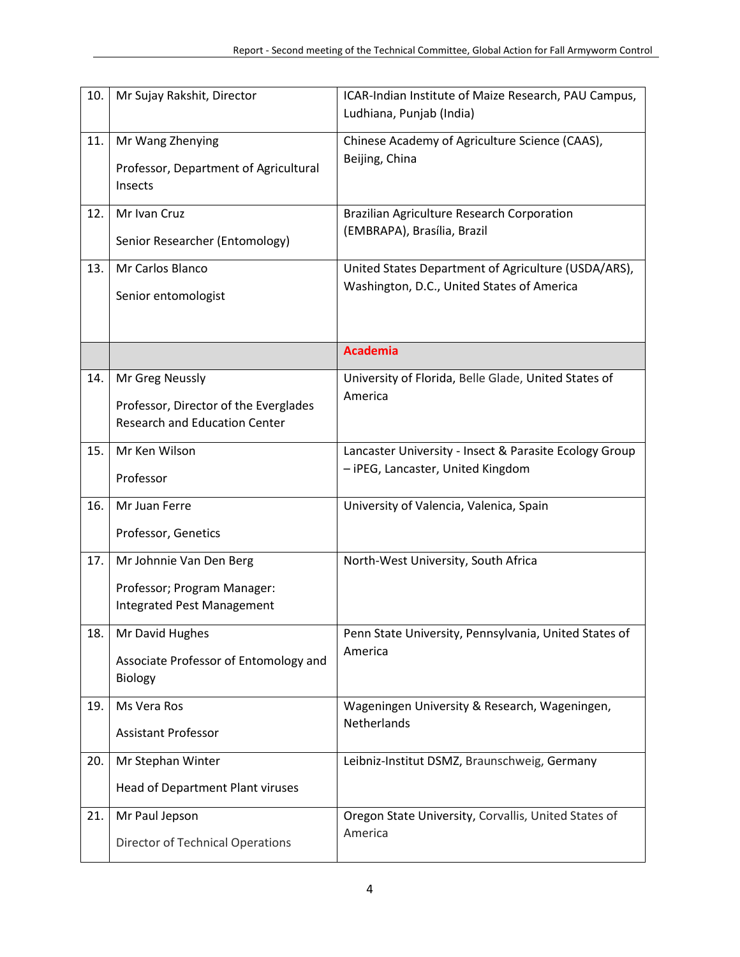| 10. | Mr Sujay Rakshit, Director                                                                       | ICAR-Indian Institute of Maize Research, PAU Campus,<br>Ludhiana, Punjab (India)                  |
|-----|--------------------------------------------------------------------------------------------------|---------------------------------------------------------------------------------------------------|
| 11. | Mr Wang Zhenying<br>Professor, Department of Agricultural<br>Insects                             | Chinese Academy of Agriculture Science (CAAS),<br>Beijing, China                                  |
| 12. | Mr Ivan Cruz<br>Senior Researcher (Entomology)                                                   | Brazilian Agriculture Research Corporation<br>(EMBRAPA), Brasília, Brazil                         |
| 13. | Mr Carlos Blanco<br>Senior entomologist                                                          | United States Department of Agriculture (USDA/ARS),<br>Washington, D.C., United States of America |
|     |                                                                                                  | <b>Academia</b>                                                                                   |
| 14. | Mr Greg Neussly<br>Professor, Director of the Everglades<br><b>Research and Education Center</b> | University of Florida, Belle Glade, United States of<br>America                                   |
| 15. | Mr Ken Wilson<br>Professor                                                                       | Lancaster University - Insect & Parasite Ecology Group<br>- iPEG, Lancaster, United Kingdom       |
| 16. | Mr Juan Ferre<br>Professor, Genetics                                                             | University of Valencia, Valenica, Spain                                                           |
| 17. | Mr Johnnie Van Den Berg<br>Professor; Program Manager:<br>Integrated Pest Management             | North-West University, South Africa                                                               |
| 18. | Mr David Hughes<br>Associate Professor of Entomology and<br><b>Biology</b>                       | Penn State University, Pennsylvania, United States of<br>America                                  |
| 19. | Ms Vera Ros<br><b>Assistant Professor</b>                                                        | Wageningen University & Research, Wageningen,<br>Netherlands                                      |
| 20. | Mr Stephan Winter<br>Head of Department Plant viruses                                            | Leibniz-Institut DSMZ, Braunschweig, Germany                                                      |
| 21. | Mr Paul Jepson<br>Director of Technical Operations                                               | Oregon State University, Corvallis, United States of<br>America                                   |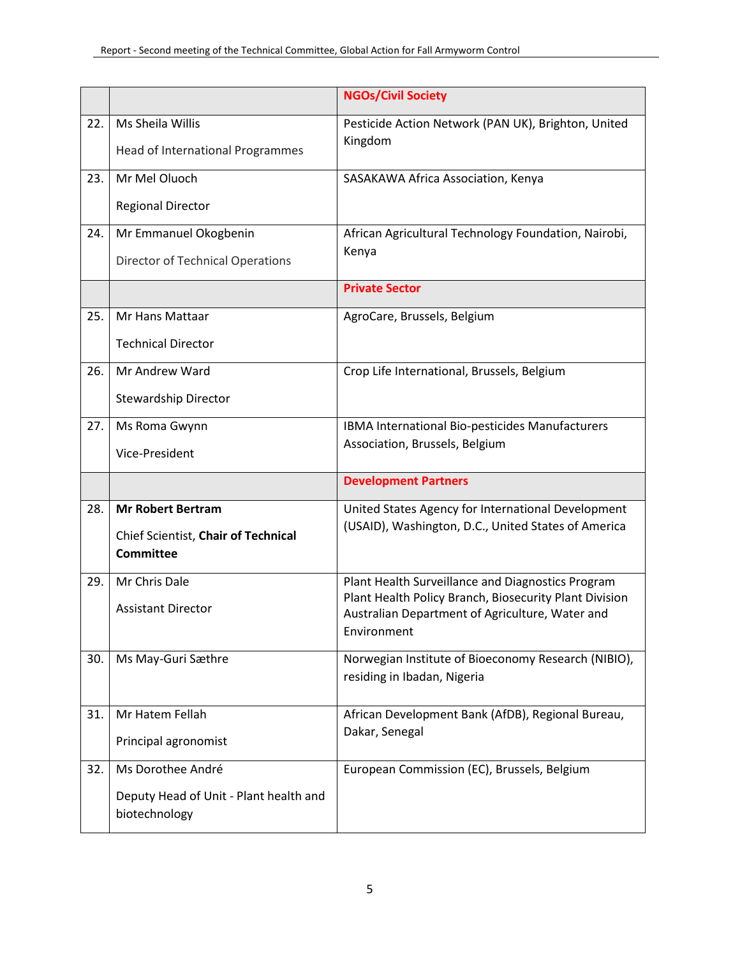|     |                                                         | <b>NGOs/Civil Society</b>                                      |
|-----|---------------------------------------------------------|----------------------------------------------------------------|
| 22. | Ms Sheila Willis<br>Head of International Programmes    | Pesticide Action Network (PAN UK), Brighton, United<br>Kingdom |
| 23. | Mr Mel Oluoch                                           | SASAKAWA Africa Association, Kenya                             |
|     | <b>Regional Director</b>                                |                                                                |
| 24. | Mr Emmanuel Okogbenin                                   | African Agricultural Technology Foundation, Nairobi,           |
|     | <b>Director of Technical Operations</b>                 | Kenya                                                          |
|     |                                                         | <b>Private Sector</b>                                          |
| 25. | Mr Hans Mattaar                                         | AgroCare, Brussels, Belgium                                    |
|     | <b>Technical Director</b>                               |                                                                |
| 26. | Mr Andrew Ward                                          | Crop Life International, Brussels, Belgium                     |
|     | Stewardship Director                                    |                                                                |
| 27. | Ms Roma Gwynn                                           | IBMA International Bio-pesticides Manufacturers                |
|     | Vice-President                                          | Association, Brussels, Belgium                                 |
|     |                                                         | <b>Development Partners</b>                                    |
| 28. | <b>Mr Robert Bertram</b>                                | United States Agency for International Development             |
|     | Chief Scientist, Chair of Technical<br><b>Committee</b> | (USAID), Washington, D.C., United States of America            |
| 29. | Mr Chris Dale                                           | Plant Health Surveillance and Diagnostics Program              |
|     | <b>Assistant Director</b>                               | Plant Health Policy Branch, Biosecurity Plant Division         |
|     |                                                         | Australian Department of Agriculture, Water and<br>Environment |
| 30. | Ms May-Guri Sæthre                                      | Norwegian Institute of Bioeconomy Research (NIBIO),            |
|     |                                                         | residing in Ibadan, Nigeria                                    |
| 31. | Mr Hatem Fellah                                         | African Development Bank (AfDB), Regional Bureau,              |
|     | Principal agronomist                                    | Dakar, Senegal                                                 |
| 32. | Ms Dorothee André                                       | European Commission (EC), Brussels, Belgium                    |
|     | Deputy Head of Unit - Plant health and<br>biotechnology |                                                                |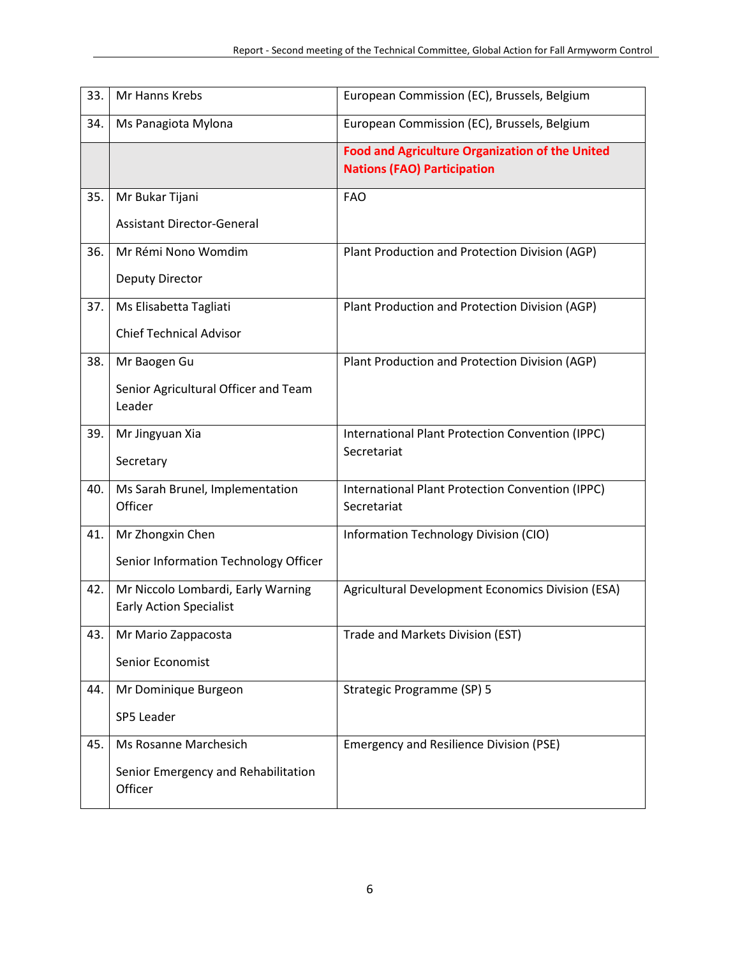| 33. | Mr Hanns Krebs                                 | European Commission (EC), Brussels, Belgium                                                  |
|-----|------------------------------------------------|----------------------------------------------------------------------------------------------|
| 34. | Ms Panagiota Mylona                            | European Commission (EC), Brussels, Belgium                                                  |
|     |                                                | <b>Food and Agriculture Organization of the United</b><br><b>Nations (FAO) Participation</b> |
| 35. | Mr Bukar Tijani                                | <b>FAO</b>                                                                                   |
|     | <b>Assistant Director-General</b>              |                                                                                              |
| 36. | Mr Rémi Nono Womdim                            | Plant Production and Protection Division (AGP)                                               |
|     | <b>Deputy Director</b>                         |                                                                                              |
| 37. | Ms Elisabetta Tagliati                         | Plant Production and Protection Division (AGP)                                               |
|     | <b>Chief Technical Advisor</b>                 |                                                                                              |
| 38. | Mr Baogen Gu                                   | Plant Production and Protection Division (AGP)                                               |
|     | Senior Agricultural Officer and Team<br>Leader |                                                                                              |
| 39. | Mr Jingyuan Xia                                | International Plant Protection Convention (IPPC)                                             |
|     | Secretary                                      | Secretariat                                                                                  |
| 40. | Ms Sarah Brunel, Implementation<br>Officer     | International Plant Protection Convention (IPPC)<br>Secretariat                              |
| 41. | Mr Zhongxin Chen                               | Information Technology Division (CIO)                                                        |
|     | Senior Information Technology Officer          |                                                                                              |
| 42. | Mr Niccolo Lombardi, Early Warning             | Agricultural Development Economics Division (ESA)                                            |
|     | <b>Early Action Specialist</b>                 |                                                                                              |
| 43. | Mr Mario Zappacosta                            | Trade and Markets Division (EST)                                                             |
|     | Senior Economist                               |                                                                                              |
| 44. | Mr Dominique Burgeon                           | Strategic Programme (SP) 5                                                                   |
|     | SP5 Leader                                     |                                                                                              |
| 45. | Ms Rosanne Marchesich                          | <b>Emergency and Resilience Division (PSE)</b>                                               |
|     | Senior Emergency and Rehabilitation<br>Officer |                                                                                              |